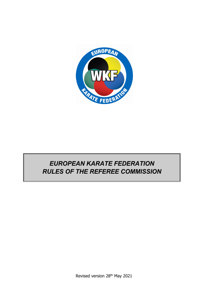

# *EUROPEAN KARATE FEDERATION RULES OF THE REFEREE COMMISSION*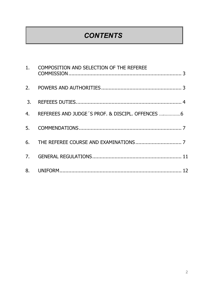# *CONTENTS*

|                  | 1. COMPOSITION AND SELECTION OF THE REFEREE        |
|------------------|----------------------------------------------------|
|                  |                                                    |
| $\overline{3}$ . |                                                    |
|                  | 4. REFEREES AND JUDGE 'S PROF. & DISCIPL. OFFENCES |
| 5.               |                                                    |
|                  |                                                    |
|                  |                                                    |
|                  |                                                    |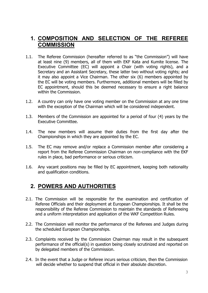### **1. COMPOSITION AND SELECTION OF THE REFEREE COMMISSION**

- 1.1. The Referee Commission (hereafter referred to as "the Commission") will have at least nine (9) members, all of them with EKF Kata and Kumite license. The Executive Committee (EC) will appoint a Chair (with voting rights), and a Secretary and an Assistant Secretary, these latter two without voting rights; and it may also appoint a Vice Chairman. The other six (6) members appointed by the EC will be voting members. Furthermore, additional members will be filled by EC appointment, should this be deemed necessary to ensure a right balance within the Commission.
- 1.2. A country can only have one voting member on the Commission at any one time with the exception of the Chairman which will be considered independent.
- 1.3. Members of the Commission are appointed for a period of four (4) years by the Executive Committee.
- 1.4. The new members will assume their duties from the first day after the Championships in which they are appointed by the EC.
- 1.5. The EC may remove and/or replace a Commission member after considering a report from the Referee Commission Chairman on non-compliance with the EKF rules in place, bad performance or serious criticism.
- 1.6. Any vacant positions may be filled by EC appointment, keeping both nationality and qualification conditions.

# **2. POWERS AND AUTHORITIES**

- 2.1. The Commission will be responsible for the examination and certification of Referee Officials and their deployment at European Championships. It shall be the responsibility of the Referee Commission to maintain the standards of Refereeing and a uniform interpretation and application of the WKF Competition Rules.
- 2.2. The Commission will monitor the performance of the Referees and Judges during the scheduled European Championships.
- 2.3. Complaints received by the Commission Chairman may result in the subsequent performance of the official(s) in question being closely scrutinized and reported on by delegated members of the Commission.
- 2.4. In the event that a Judge or Referee incurs serious criticism, then the Commission will decide whether to suspend that official in their absolute discretion.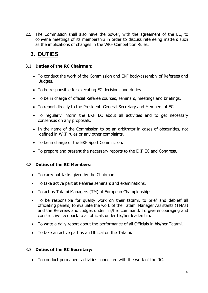2.5. The Commission shall also have the power, with the agreement of the EC, to convene meetings of its membership in order to discuss refereeing matters such as the implications of changes in the WKF Competition Rules.

# **3. DUTIES**

### 3.1. **Duties of the RC Chairman:**

- To conduct the work of the Commission and EKF body/assembly of Referees and Judges.
- To be responsible for executing EC decisions and duties.
- To be in charge of official Referee courses, seminars, meetings and briefings.
- To report directly to the President, General Secretary and Members of EC.
- To regularly inform the EKF EC about all activities and to get necessary consensus on any proposals.
- In the name of the Commission to be an arbitrator in cases of obscurities, not defined in WKF rules or any other complaints.
- To be in charge of the EKF Sport Commission.
- To prepare and present the necessary reports to the EKF EC and Congress.

### 3.2. **Duties of the RC Members:**

- To carry out tasks given by the Chairman.
- To take active part at Referee seminars and examinations.
- To act as Tatami Managers (TM) at European Championships.
- To be responsible for quality work on their tatami, to brief and debrief all officiating panels; to evaluate the work of the Tatami Manager Assistants (TMAs) and the Referees and Judges under his/her command. To give encouraging and constructive feedback to all officials under his/her leadership.
- To write a daily report about the performance of all Officials in his/her Tatami.
- To take an active part as an Official on the Tatami.

### 3.3. **Duties of the RC Secretary:**

To conduct permanent activities connected with the work of the RC.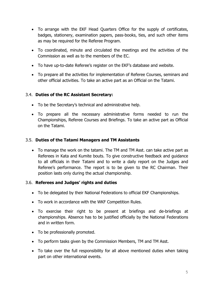- To arrange with the EKF Head Quarters Office for the supply of certificates, badges, stationery, examination papers, pass-books, ties, and such other items as may be required for the Referee Program.
- To coordinated, minute and circulated the meetings and the activities of the Commission as well as to the members of the EC.
- To have up-to-date Referee's register on the EKF's database and website.
- To prepare all the activities for implementation of Referee Courses, seminars and other official activities. To take an active part as an Official on the Tatami.

### 3.4. **Duties of the RC Assistant Secretary:**

- To be the Secretary's technical and administrative help.
- To prepare all the necessary administrative forms needed to run the Championships, Referee Courses and Briefings. To take an active part as Official on the Tatami.

### 3.5. **Duties of the Tatami Managers and TM Assistants**

 To manage the work on the tatami. The TM and TM Asst. can take active part as Referees in Kata and Kumite bouts. To give constructive feedback and guidance to all officials in their Tatami and to write a daily report on the Judges and Referee's performance. The report is to be given to the RC Chairman. Their position lasts only during the actual championship.

### 3.6. **Referees and Judges' rights and duties**

- To be delegated by their National Federations to official EKF Championships.
- To work in accordance with the WKF Competition Rules.
- To exercise their right to be present at briefings and de-briefings at championships. Absence has to be justified officially by the National Federations and in written form.
- To be professionally promoted.
- To perform tasks given by the Commission Members, TM and TM Asst.
- To take over the full responsibility for all above mentioned duties when taking part on other international events.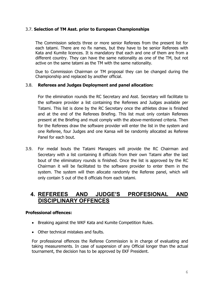### 3.7. **Selection of TM Asst. prior to European Championships**

The Commission selects three or more senior Referees from the present list for each tatami. There are no fix names, but they have to be senior Referees with Kata and Kumite licences. It is mandatory that each and one of them are from a different country. They can have the same nationality as one of the TM, but not active on the same tatami as the TM with the same nationality.

Due to Commission Chairman or TM proposal they can be changed during the Championship and replaced by another official.

### 3.8. **Referees and Judges Deployment and panel allocation:**

For the elimination rounds the RC Secretary and Asst. Secretary will facilitate to the software provider a list containing the Referees and Judges available per Tatami. This list is done by the RC Secretary once the athletes draw is finished and at the end of the Referees Briefing. This list must only contain Referees present at the Briefing and must comply with the above-mentioned criteria. Then for the Referees draw the software provider will enter the list in the system and one Referee, four Judges and one Kansa will be randomly allocated as Referee Panel for each bout.

3.9. For medal bouts the Tatami Managers will provide the RC Chairman and Secretary with a list containing 8 officials from their own Tatami after the last bout of the eliminatory rounds is finished. Once the list is approved by the RC Chairman it will be facilitated to the software provider to enter them in the system. The system will then allocate randomly the Referee panel, which will only contain 5 out of the 8 officials from each tatami.

### **4. REFEREES AND JUDGE'S PROFESIONAL AND DISCIPLINARY OFFENCES**

#### **Professional offences:**

- Breaking against the WKF Kata and Kumite Competition Rules.
- Other technical mistakes and faults.

For professional offences the Referee Commission is in charge of evaluating and taking measurements. In case of suspension of any Official longer than the actual tournament, the decision has to be approved by EKF President.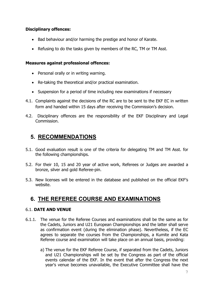### **Disciplinary offences:**

- Bad behaviour and/or harming the prestige and honor of Karate.
- Refusing to do the tasks given by members of the RC, TM or TM Asst.

#### **Measures against professional offences:**

- Personal orally or in writing warning.
- Re-taking the theoretical and/or practical examination.
- Suspension for a period of time including new examinations if necessary
- 4.1. Complaints against the decisions of the RC are to be sent to the EKF EC in written form and handed within 15 days after receiving the Commission's decision.
- 4.2. Disciplinary offences are the responsibility of the EKF Disciplinary and Legal Commission.

# **5. RECOMMENDATIONS**

- 5.1. Good evaluation result is one of the criteria for delegating TM and TM Asst. for the following championships.
- 5.2. For their 10, 15 and 20 year of active work, Referees or Judges are awarded a bronze, silver and gold Referee-pin.
- 5.3. New licenses will be entered in the database and published on the official EKF's website.

# **6. THE REFEREE COURSE AND EXAMINATIONS**

### 6.1. **DATE AND VENUE**

- 6.1.1. The venue for the Referee Courses and examinations shall be the same as for the Cadets, Juniors and U21 European Championships and the latter shall serve as confirmation event (during the elimination phase). Nevertheless, if the EC agrees to separate the courses from the Championships, a Kumite and Kata Referee course and examination will take place on an annual basis, providing:
	- a) The venue for the EKF Referee Course, if separated from the Cadets, Juniors and U21 Championships will be set by the Congress as part of the official events calendar of the EKF. In the event that after the Congress the next year's venue becomes unavailable, the Executive Committee shall have the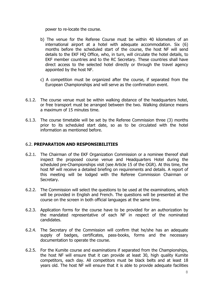power to re-locate the course.

- b) The venue for the Referee Course must be within 40 kilometers of an international airport at a hotel with adequate accommodation. Six (6) months before the scheduled start of the course, the host NF will send details to the EKF HQ Office, who, in turn, will circulate the hotel details, to EKF member countries and to the RC Secretary. These countries shall have direct access to the selected hotel directly or through the travel agency appointed by the host NF.
- c) A competition must be organized after the course, if separated from the European Championships and will serve as the confirmation event.
- 6.1.2. The course venue must be within walking distance of the headquarters hotel, or free transport must be arranged between the two. Walking distance means a maximum of 15 minutes time.
- 6.1.3. The course timetable will be set by the Referee Commission three (3) months prior to its scheduled start date, so as to be circulated with the hotel information as mentioned before.

#### 6.2. **PREPARATION AND RESPONSIBILITIES**

- 6.2.1. The Chairman of the EKF Organization Commission or a nominee thereof shall inspect the proposed course venue and Headquarters Hotel during the scheduled pre-Championships visit (see Article 15 of the OGR). At this time, the host NF will receive a detailed briefing on requirements and details. A report of this meeting will be lodged with the Referee Commission Chairman or Secretary.
- 6.2.2. The Commission will select the questions to be used at the examinations, which will be provided in English and French. The questions will be presented at the course on the screen in both official languages at the same time.
- 6.2.3. Application forms for the course have to be provided for an authorization by the mandated representative of each NF in respect of the nominated candidates.
- 6.2.4. The Secretary of the Commission will confirm that he/she has an adequate supply of badges, certificates, pass-books, forms and the necessary documentation to operate the course.
- 6.2.5. For the Kumite course and examinations if separated from the Championships, the host NF will ensure that it can provide at least 30, high quality Kumite competitors, each day. All competitors must be black belts and at least 18 years old. The host NF will ensure that it is able to provide adequate facilities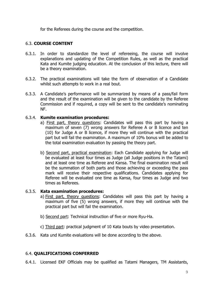for the Referees during the course and the competition.

### 6.3. **COURSE CONTENT**

- 6.3.1. In order to standardize the level of refereeing, the course will involve explanations and updating of the Competition Rules, as well as the practical Kata and Kumite judging education. At the conclusion of this lecture, there will be a theory examination.
- 6.3.2. The practical examinations will take the form of observation of a Candidate whilst such attempts to work in a real bout.
- 6.3.3. A Candidate's performance will be summarized by means of a pass/fail form and the result of the examination will be given to the candidate by the Referee Commission and if required, a copy will be sent to the candidate's nominating NF.

#### 6.3.4. **Kumite examination procedures:**

- a) First part, theory questions: Candidates will pass this part by having a maximum of seven (7) wrong answers for Referee A or B licence and ten (10) for Judge A or B licence, if more they will continue with the practical part but will fail the examination. A maximum of 10% bonus will be added to the total examination evaluation by passing the theory part.
- b) Second part, practical examination: Each Candidate applying for Judge will be evaluated at least four times as Judge (all Judge positions in the Tatami) and at least one time as Referee and Kansa. The final examination result will be the summation of both parts and those achieving or exceeding the pass mark will receive their respective qualifications. Candidates applying for Referee will be evaluated one time as Kansa, four times as Judge and two times as Referees.

#### 6.3.5. **Kata examination procedures:**

- a) First part, theory questions: Candidates will pass this part by having a maximum of five (5) wrong answers, if more they will continue with the practical part but will fail the examination.
- b) Second part: Technical instruction of five or more Ryu-Ha.
- c) Third part: practical judgment of 10 Kata bouts by video presentation.
- 6.3.6. Kata und Kumite evaluations will be done according to the above.

### 6.4. **QUALIFICATIONS CONFERRED**

6.4.1. Licensed EKF Officials may be qualified as Tatami Managers, TM Assistants,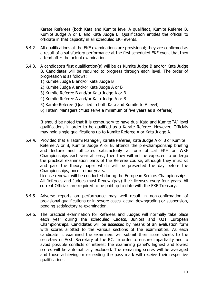Karate Referees (both Kata and Kumite level A qualified), Kumite Referee B, Kumite Judge A or B and Kata Judge B. Qualification entitles the official to officiate in that capacity in all scheduled EKF events.

- 6.4.2. All qualifications at the EKF examinations are provisional; they are confirmed as a result of a satisfactory performance at the first scheduled EKF event that they attend after the actual examination.
- 6.4.3. A candidate's first qualification(s) will be as Kumite Judge B and/or Kata Judge B. Candidates will be required to progress through each level. The order of progression is as follows:
	- 1) Kumite Judge B and/or Kata Judge B
	- 2) Kumite Judge A and/or Kata Judge A or B
	- 3) Kumite Referee B and/or Kata Judge A or B
	- 4) Kumite Referee A and/or Kata Judge A or B
	- 5) Karate Referee (Qualified in both Kata and Kumite to A level)
	- 6) Tatami Managers (Must serve a minimum of five years as a Referee)

It should be noted that it is compulsory to have dual Kata and Kumite "A" level qualifications in order to be qualified as a Karate Referee. However, Officials may hold single qualifications up to Kumite Referee A or Kata Judge A.

6.4.4. Provided that a Tatami Manager, Karate Referee, Kata Judge A or B or Kumite Referee A or B, Kumite Judge A or B, attends the pre-championship briefing and lecture and officiates satisfactorily at one official EKF or WKF Championships each year at least, then they will not be expected to undergo the practical examination parts of the Referee course, although they must sit and pass the theory paper which will be presented the day before the Championships, once in four years.

License renewal will be conducted during the European Seniors Championships. All Referees and Judges must Renew (pay) their licenses every four years. All current Officials are required to be paid up to date with the EKF Treasury.

- 6.4.5. Adverse reports on performance may well result in non-confirmation of provisional qualifications or in severe cases, actual downgrading or suspension, pending satisfactory re-examination.
- 6.4.6. The practical examination for Referees and Judges will normally take place each year during the scheduled Cadets, Juniors and U21 European Championships. Candidates will be assessed by means of an evaluation form with scores allotted to the various sections of the examination. As each candidate is examined the examiners will submit their score sheets to the secretary or Asst. Secretary of the RC. In order to ensure impartiality and to avoid possible conflicts of interest the examining panel's highest and lowest scores will be automatically excluded. The remaining scores will be averaged and those achieving or exceeding the pass mark will receive their respective qualifications.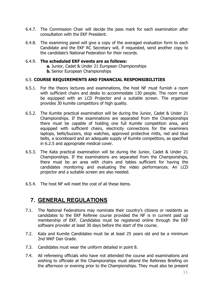- 6.4.7. The Commission Chair will decide the pass mark for each examination after consultation with the EKF President.
- 6.4.8. The examining panel will give a copy of the averaged evaluation form to each Candidate and the EKF RC Secretary will, if requested, send another copy to the candidate's National Federation for their records.

#### 6.4.9. **The scheduled EKF events are as follows:**

**a.** Junior, Cadet & Under 21 European Championships **b.** Senior European Championships

#### 6.5. **COURSE REQUIREMENTS AND FINANCIAL RESPONSIBILITIES**

- 6.5.1. For the theory lectures and examinations, the host NF must furnish a room with sufficient chairs and desks to accommodate 130 people. The room must be equipped with an LCD Projector and a suitable screen. The organizer provides 30 kumite competitors of high quality.
- 6.5.2. The Kumite practical examination will be during the Junior, Cadet & Under 21 Championships. If the examinations are separated from the Championships there must be capable of holding one full Kumite competition area, and equipped with sufficient chairs, electricity connections for the examiners laptops, bells/buzzers, stop watches, approved protective mitts, red and blue belts, a scoreboard and an adequate supply of Kumite competitors, as specified in 6.2.5 and appropriate medical cover.
- 6.5.3. The Kata practical examination will be during the Junior, Cadet & Under 21 Championships. If the examinations are separated from the Championships, there must be an area with chairs and tables sufficient for having the candidates monitoring and evaluating the video performances. An LCD projector and a suitable screen are also needed.
- 6.5.4. The host NF will meet the cost of all these items.

### **7. GENERAL REGULATIONS**

- 7.1. The National Federations may nominate their country's citizens or residents as candidates to the EKF Referee course provided the NF is in current paid up membership of EKF. Candidates must be registered online through the EKF software provider at least 30 days before the start of the course.
- 7.2. Kata and Kumite Candidates must be at least 25 years old and be a minimum 2nd WKF Dan Grade.
- 7.3. Candidates must wear the uniform detailed in point 8.
- 7.4. All refereeing officials who have not attended the course and examinations and wishing to officiate at the Championships must attend the Referees Briefing on the afternoon or evening prior to the Championships. They must also be present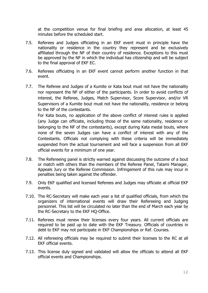at the competition venue for final briefing and area allocation, at least 45 minutes before the scheduled start.

- 7.5. Referees and Judges officiating in an EKF event must in principle have the nationality or residence in the country they represent and be exclusively affiliated through the NF of their country of residence. Exceptions to this must be approved by the NF in which the individual has citizenship and will be subject to the final approval of EKF EC.
- 7.6. Referees officiating in an EKF event cannot perform another function in that event.
- 7.7. The Referee and Judges of a Kumite or Kata bout must not have the nationality nor represent the NF of either of the participants. In order to avoid conflicts of interest, the Referee, Judges, Match Supervisor, Score Supervisor, and/or VR Supervisors of a Kumite bout must not have the nationality, residence or belong to the NF of the contestants.

For Kata bouts, no application of the above conflict of interest rules is applied (any Judge can officiate, including those of the same nationality, residence or belonging to the NF of the contestants), except during Kata medal bouts, where none of the seven Judges can have a conflict of interest with any of the Contestants. Officials not complying with these criteria will be immediately suspended from the actual tournament and will face a suspension from all EKF official events for a minimum of one year.

- 7.8. The Refereeing panel is strictly warned against discussing the outcome of a bout or match with others than the members of the Referee Panel, Tatami Manager, Appeals Jury or the Referee Commission. Infringement of this rule may incur in penalties being taken against the offender.
- 7.9. Only EKF qualified and licensed Referees and Judges may officiate at official EKF events.
- 7.10. The RC-Secretary will make each year a list of qualified officials, from which the organizers of international events will draw their Refereeing and Judging personnel. This list will be circulated no later than the end of March each year by the RC-Secretary to the EKF HQ-Office.
- 7.11. Referees must renew their licenses every four years. All current officials are required to be paid up to date with the EKF Treasury. Officials of countries in debt to EKF may not participate in EKF Championships or Ref. Courses.
- 7.12. All refereeing officials may be required to submit their licenses to the RC at all EKF official events.
- 7.13. This license duly signed and validated will allow the officials to attend all EKF official events and Championships.